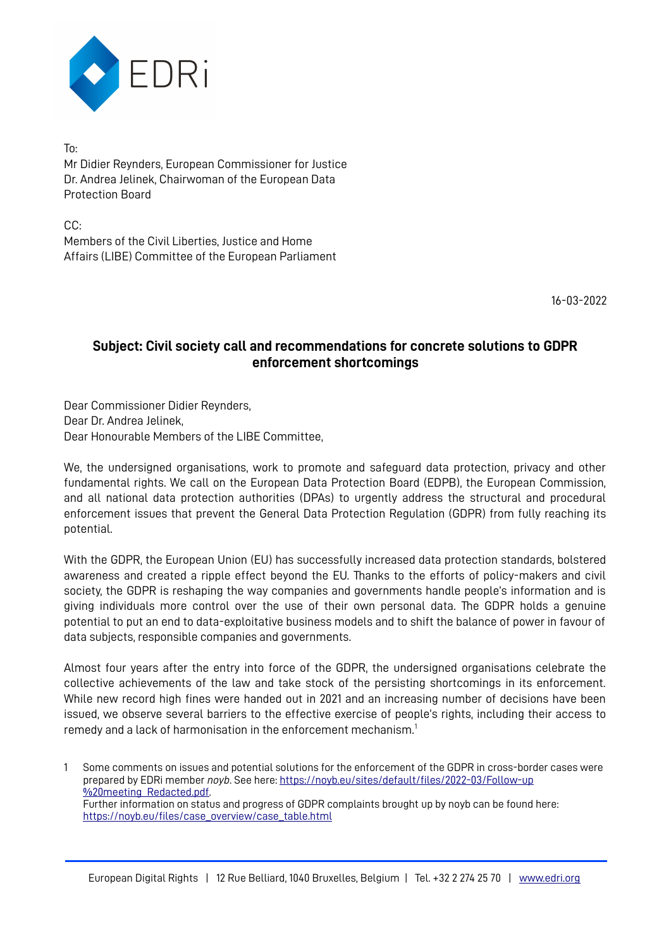

To: Mr Didier Reynders, European Commissioner for Justice Dr. Andrea Jelinek, Chairwoman of the European Data Protection Board

CC: Members of the Civil Liberties, Justice and Home Affairs (LIBE) Committee of the European Parliament

16-03-2022

## **Subject: Civil society call and recommendations for concrete solutions to GDPR enforcement shortcomings**

Dear Commissioner Didier Reynders, Dear Dr. Andrea Jelinek, Dear Honourable Members of the LIBE Committee,

We, the undersigned organisations, work to promote and safeguard data protection, privacy and other fundamental rights. We call on the European Data Protection Board (EDPB), the European Commission, and all national data protection authorities (DPAs) to urgently address the structural and procedural enforcement issues that prevent the General Data Protection Regulation (GDPR) from fully reaching its potential.

With the GDPR, the European Union (EU) has successfully increased data protection standards, bolstered awareness and created a ripple effect beyond the EU. Thanks to the efforts of policy-makers and civil society, the GDPR is reshaping the way companies and governments handle people's information and is giving individuals more control over the use of their own personal data. The GDPR holds a genuine potential to put an end to data-exploitative business models and to shift the balance of power in favour of data subjects, responsible companies and governments.

Almost four years after the entry into force of the GDPR, the undersigned organisations celebrate the collective achievements of the law and take stock of the persisting shortcomings in its enforcement. While new record high fines were handed out in 2021 and an increasing number of decisions have been issued, we observe several barriers to the effective exercise of people's rights, including their access to remedy and a lack of harmonisation in the enforcement mechanism.<sup>[1](#page-0-0)</sup>

<span id="page-0-0"></span>1 Some comments on issues and potential solutions for the enforcement of the GDPR in cross-border cases were prepared by EDRi member *noyb*. See here: [https://noyb.eu/sites/default/files/2022-03/Follow-up](https://noyb.eu/sites/default/files/2022-03/Follow-up%20meeting_Redacted.pdf) [%20meeting\\_Redacted.pdf.](https://noyb.eu/sites/default/files/2022-03/Follow-up%20meeting_Redacted.pdf) Further information on status and progress of GDPR complaints brought up by noyb can be found here: [https://noyb.eu/files/case\\_overview/case\\_table.html](https://noyb.eu/files/case_overview/case_table.html)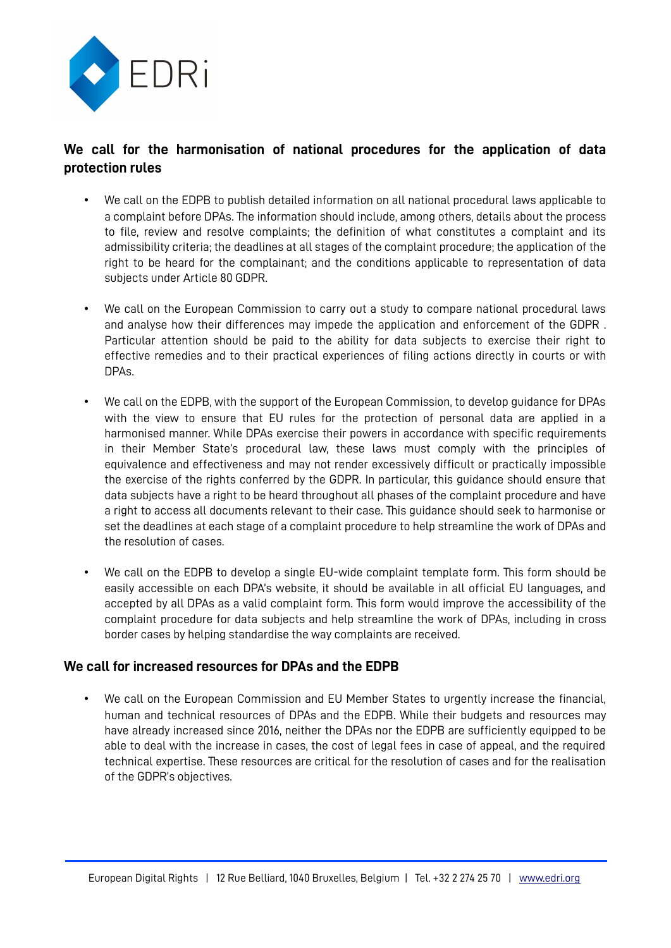

## **We call for the harmonisation of national procedures for the application of data protection rules**

- We call on the EDPB to publish detailed information on all national procedural laws applicable to a complaint before DPAs. The information should include, among others, details about the process to file, review and resolve complaints; the definition of what constitutes a complaint and its admissibility criteria; the deadlines at all stages of the complaint procedure; the application of the right to be heard for the complainant; and the conditions applicable to representation of data subjects under Article 80 GDPR.
- We call on the European Commission to carry out a study to compare national procedural laws and analyse how their differences may impede the application and enforcement of the GDPR . Particular attention should be paid to the ability for data subjects to exercise their right to effective remedies and to their practical experiences of filing actions directly in courts or with DPAs.
- We call on the EDPB, with the support of the European Commission, to develop guidance for DPAs with the view to ensure that EU rules for the protection of personal data are applied in a harmonised manner. While DPAs exercise their powers in accordance with specific requirements in their Member State's procedural law, these laws must comply with the principles of equivalence and effectiveness and may not render excessively difficult or practically impossible the exercise of the rights conferred by the GDPR. In particular, this guidance should ensure that data subjects have a right to be heard throughout all phases of the complaint procedure and have a right to access all documents relevant to their case. This guidance should seek to harmonise or set the deadlines at each stage of a complaint procedure to help streamline the work of DPAs and the resolution of cases.
- We call on the EDPB to develop a single EU-wide complaint template form. This form should be easily accessible on each DPA's website, it should be available in all official EU languages, and accepted by all DPAs as a valid complaint form. This form would improve the accessibility of the complaint procedure for data subjects and help streamline the work of DPAs, including in cross border cases by helping standardise the way complaints are received.

## **We call for increased resources for DPAs and the EDPB**

We call on the European Commission and EU Member States to urgently increase the financial, human and technical resources of DPAs and the EDPB. While their budgets and resources may have already increased since 2016, neither the DPAs nor the EDPB are sufficiently equipped to be able to deal with the increase in cases, the cost of legal fees in case of appeal, and the required technical expertise. These resources are critical for the resolution of cases and for the realisation of the GDPR's objectives.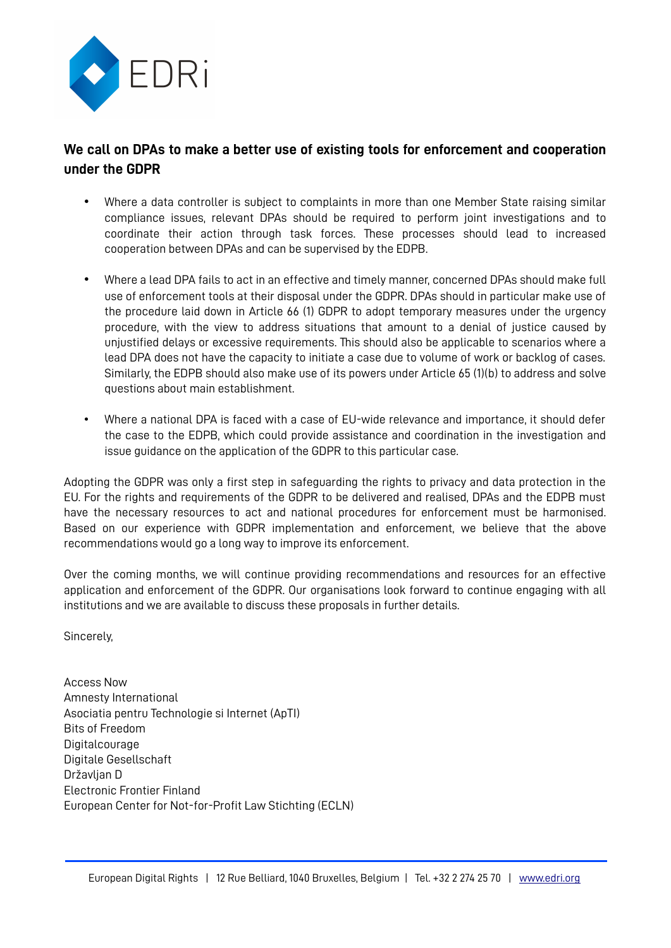

## **We call on DPAs to make a better use of existing tools for enforcement and cooperation under the GDPR**

- Where a data controller is subject to complaints in more than one Member State raising similar compliance issues, relevant DPAs should be required to perform joint investigations and to coordinate their action through task forces. These processes should lead to increased cooperation between DPAs and can be supervised by the EDPB.
- Where a lead DPA fails to act in an effective and timely manner, concerned DPAs should make full use of enforcement tools at their disposal under the GDPR. DPAs should in particular make use of the procedure laid down in Article 66 (1) GDPR to adopt temporary measures under the urgency procedure, with the view to address situations that amount to a denial of justice caused by unjustified delays or excessive requirements. This should also be applicable to scenarios where a lead DPA does not have the capacity to initiate a case due to volume of work or backlog of cases. Similarly, the EDPB should also make use of its powers under Article 65 (1)(b) to address and solve questions about main establishment.
- Where a national DPA is faced with a case of EU-wide relevance and importance, it should defer the case to the EDPB, which could provide assistance and coordination in the investigation and issue guidance on the application of the GDPR to this particular case.

Adopting the GDPR was only a first step in safeguarding the rights to privacy and data protection in the EU. For the rights and requirements of the GDPR to be delivered and realised, DPAs and the EDPB must have the necessary resources to act and national procedures for enforcement must be harmonised. Based on our experience with GDPR implementation and enforcement, we believe that the above recommendations would go a long way to improve its enforcement.

Over the coming months, we will continue providing recommendations and resources for an effective application and enforcement of the GDPR. Our organisations look forward to continue engaging with all institutions and we are available to discuss these proposals in further details.

Sincerely,

Access Now Amnesty International Asociatia pentru Technologie si Internet (ApTI) Bits of Freedom Digitalcourage Digitale Gesellschaft Državljan D Electronic Frontier Finland European Center for Not-for-Profit Law Stichting (ECLN)